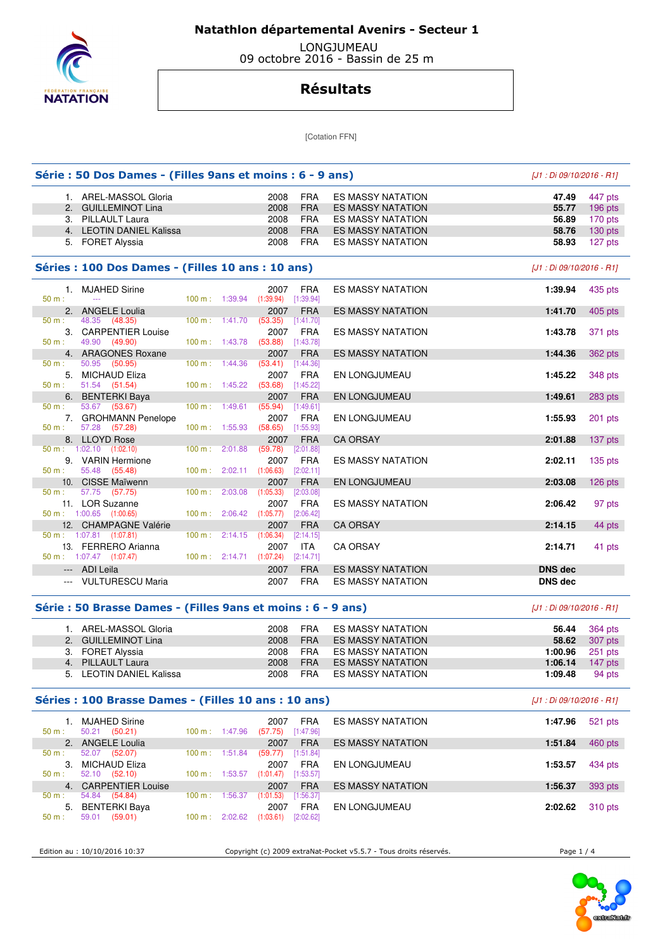

## **Natathlon départemental Avenirs - Secteur 1**

 LONGJUMEAU 09 octobre 2016 - Bassin de 25 m

## **Résultats**

[Cotation FFN]

|             | Série : 50 Dos Dames - (Filles 9ans et moins : 6 - 9 ans)    |                          |                                            |                         |                          | [J1 : Di 09/10/2016 - R1] |           |
|-------------|--------------------------------------------------------------|--------------------------|--------------------------------------------|-------------------------|--------------------------|---------------------------|-----------|
|             | 1. AREL-MASSOL Gloria                                        |                          | 2008                                       | <b>FRA</b>              | <b>ES MASSY NATATION</b> | 47.49                     | 447 pts   |
|             | 2. GUILLEMINOT Lina                                          |                          | 2008                                       | <b>FRA</b>              | <b>ES MASSY NATATION</b> | 55.77                     | 196 pts   |
|             | 3. PILLAULT Laura                                            |                          | 2008                                       | <b>FRA</b>              | <b>ES MASSY NATATION</b> | 56.89                     | 170 pts   |
|             | 4. LEOTIN DANIEL Kalissa                                     |                          | 2008                                       | <b>FRA</b>              | <b>ES MASSY NATATION</b> | 58.76                     | $130$ pts |
|             | 5. FORET Alyssia                                             |                          | 2008                                       | <b>FRA</b>              | <b>ES MASSY NATATION</b> | 58.93                     | 127 pts   |
|             | Séries : 100 Dos Dames - (Filles 10 ans : 10 ans)            |                          |                                            |                         |                          | [J1 : Di 09/10/2016 - R1] |           |
| $50 m$ :    | 1. MJAHED Sirine<br>$\sim$ $\sim$                            |                          | 2007<br>100 m: 1:39.94 (1:39.94) [1:39.94] | <b>FRA</b>              | <b>ES MASSY NATATION</b> | 1:39.94                   | 435 pts   |
|             | 2. ANGELE Loulia                                             |                          | 2007                                       | <b>FRA</b>              | <b>ES MASSY NATATION</b> | 1:41.70                   | 405 pts   |
| 50 m:       | 48.35 (48.35)<br>3. CARPENTIER Louise                        | 100 m: 1:41.70           | (53.35)<br>2007                            | [1:41.70]<br><b>FRA</b> | <b>ES MASSY NATATION</b> | 1:43.78                   | 371 pts   |
| 50 m:       | 49.90 (49.90)                                                | 100 m: 1:43.78           | (53.88)                                    | $[1:43.78]$             |                          |                           |           |
|             | 4. ARAGONES Roxane                                           |                          | 2007                                       | <b>FRA</b>              | <b>ES MASSY NATATION</b> | 1:44.36                   | 362 pts   |
| 50 m:       | 50.95 (50.95)                                                | 100 m: 1:44.36           | (53.41)                                    | [1:44.36]               |                          |                           |           |
| 50 m:       | 5. MICHAUD Eliza<br>51.54 (51.54)                            | 100 m: 1:45.22           | 2007<br>(53.68)                            | <b>FRA</b><br>[1:45.22] | EN LONGJUMEAU            | 1:45.22                   | 348 pts   |
|             | 6. BENTERKI Baya                                             |                          | 2007                                       | <b>FRA</b>              | EN LONGJUMEAU            | 1:49.61                   | 283 pts   |
| 50 m:       | 53.67 (53.67)<br>7. GROHMANN Penelope                        | $100 m$ : 1:49.61        | (55.94)<br>2007                            | [1:49.61]<br><b>FRA</b> | EN LONGJUMEAU            | 1:55.93                   | $201$ pts |
| $50 m$ :    | 57.28 (57.28)                                                | 100 m: 1:55.93           | (58.65)                                    | [1:55.93]               |                          |                           |           |
|             | 8. LLOYD Rose                                                |                          | 2007                                       | <b>FRA</b>              | <b>CA ORSAY</b>          | 2:01.88                   | $137$ pts |
|             | $50 \text{ m}$ : 1:02.10 (1:02.10)                           | 100 m: 2:01.88           | (59.78)                                    | [2:01.88]               |                          |                           |           |
| 50 m:       | 9. VARIN Hermione<br>55.48 (55.48)                           |                          | 2007<br>$100 \text{ m}: 2:02.11 (1:06.63)$ | <b>FRA</b><br>[2:02.11] | <b>ES MASSY NATATION</b> | 2:02.11                   | 135 pts   |
|             | 10. CISSE Maïwenn                                            |                          | 2007                                       | <b>FRA</b>              | EN LONGJUMEAU            | 2:03.08                   | $126$ pts |
| 50 m:       | 57.75 (57.75)                                                | 100 m: 2:03.08           | (1:05.33)                                  | [2:03.08]               |                          |                           |           |
|             | 11. LOR Suzanne                                              |                          | 2007                                       | <b>FRA</b>              | <b>ES MASSY NATATION</b> | 2:06.42                   | 97 pts    |
|             | $50 \text{ m}$ : 1:00.65 (1:00.65)<br>12. CHAMPAGNE Valérie  | 100 m: 2:06.42           | (1:05.77)<br>2007                          | [2:06.42]<br><b>FRA</b> | <b>CA ORSAY</b>          | 2:14.15                   | 44 pts    |
|             | $50 \text{ m}: 1:07.81$ (1:07.81)                            | 100 m: 2:14.15           | (1:06.34)                                  | [2:14.15]               |                          |                           |           |
|             | 13. FERRERO Arianna                                          |                          | 2007                                       | <b>ITA</b>              | <b>CA ORSAY</b>          | 2:14.71                   | 41 pts    |
|             | $50 \text{ m}: 1:07.47$ (1:07.47)                            |                          | 100 m: 2:14.71 (1:07.24) [2:14.71]         |                         |                          |                           |           |
|             | --- ADI Leila                                                |                          | 2007                                       | <b>FRA</b>              | <b>ES MASSY NATATION</b> | <b>DNS dec</b>            |           |
|             | --- VULTURESCU Maria                                         |                          | 2007                                       | <b>FRA</b>              | <b>ES MASSY NATATION</b> | <b>DNS dec</b>            |           |
|             | Série : 50 Brasse Dames - (Filles 9ans et moins : 6 - 9 ans) |                          |                                            |                         |                          | [J1 : Di 09/10/2016 - R1] |           |
|             | 1. AREL-MASSOL Gloria                                        |                          | 2008                                       | <b>FRA</b>              | ES MASSY NATATION        | 56.44                     | 364 pts   |
|             | 2. GUILLEMINOT Lina                                          |                          | 2008                                       | <b>FRA</b>              | <b>ES MASSY NATATION</b> | 58.62                     | 307 pts   |
|             | 3. FORET Alyssia                                             |                          | 2008                                       | <b>FRA</b>              | <b>ES MASSY NATATION</b> | 1:00.96                   | $251$ pts |
|             | 4. PILLAULT Laura                                            |                          | 2008                                       | <b>FRA</b>              | <b>ES MASSY NATATION</b> | 1:06.14                   | 147 pts   |
|             | 5. LEOTIN DANIEL Kalissa                                     |                          | 2008                                       | FRA                     | ES MASSY NATATION        | 1:09.48                   | 94 pts    |
|             | Séries : 100 Brasse Dames - (Filles 10 ans : 10 ans)         |                          |                                            |                         |                          | [J1 : Di 09/10/2016 - R1] |           |
|             | 1. MJAHED Sirine                                             |                          | 2007                                       | <b>FRA</b>              | <b>ES MASSY NATATION</b> | 1:47.96                   | 521 pts   |
| 50 m:       | 50.21 (50.21)                                                | 100 m: 1:47.96           | $(57.75)$ [1:47.96]                        |                         |                          |                           |           |
| $50 m$ :    | 2. ANGELE Loulia<br>52.07 (52.07)                            | 100 m: 1:51.84           | 2007<br>(59.77)                            | <b>FRA</b><br>[1:51.84] | <b>ES MASSY NATATION</b> | 1:51.84                   | 460 pts   |
|             | 3. MICHAUD Eliza                                             |                          | 2007                                       | <b>FRA</b>              | EN LONGJUMEAU            | 1:53.57                   | 434 pts   |
| $50 m$ :    | 52.10 (52.10)                                                | 100 m: 1:53.57           | (1:01.47)                                  | [1:53.57]               |                          |                           |           |
| 4.<br>50 m: | <b>CARPENTIER Louise</b><br>54.84 (54.84)                    | 100 m: 1:56.37           | 2007<br>(1:01.53)                          | <b>FRA</b><br>[1:56.37] | <b>ES MASSY NATATION</b> | 1:56.37                   | 393 pts   |
| 5.          | <b>BENTERKI Baya</b>                                         |                          | 2007                                       | <b>FRA</b>              | EN LONGJUMEAU            | 2:02.62                   | 310 pts   |
| 50 m:       | 59.01 (59.01)                                                | $100 \text{ m}: 2:02.62$ | $(1:03.61)$ $[2:02.62]$                    |                         |                          |                           |           |
|             |                                                              |                          |                                            |                         |                          |                           |           |

Edition au : 10/10/2016 10:37 Copyright (c) 2009 extraNat-Pocket v5.5.7 - Tous droits réservés. Page 1 / 4

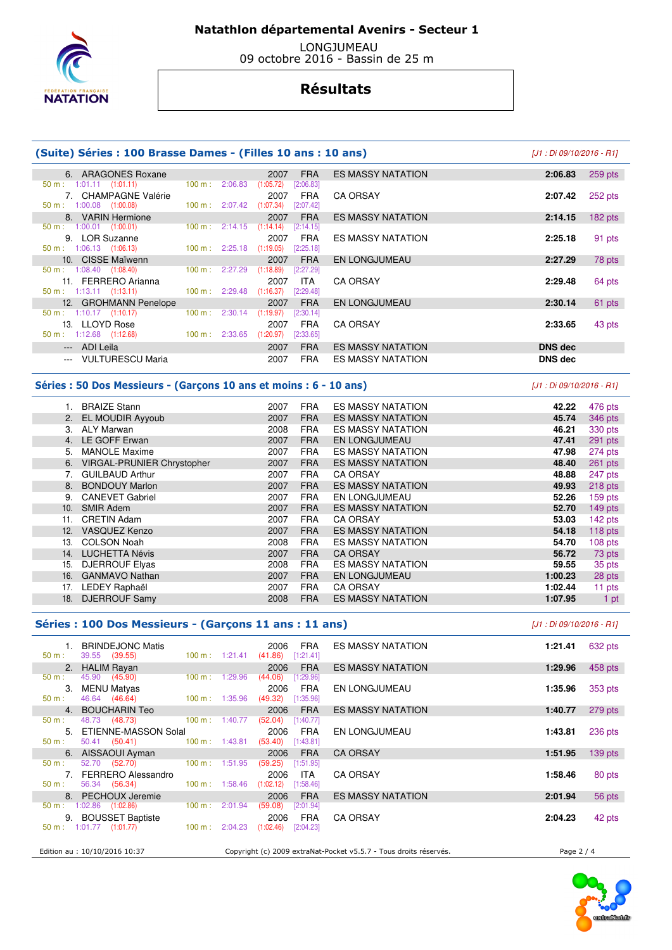

 **Natathlon départemental Avenirs - Secteur 1** 

 LONGJUMEAU 09 octobre 2016 - Bassin de 25 m

## **Résultats**

#### **(Suite) Séries : 100 Brasse Dames - (Filles 10 ans : 10 ans)** [J1 : Di 09/10/2016 - R1]

| 6. ARAGONES Roxane                  |                              | 2007<br><b>FRA</b>       | <b>ES MASSY NATATION</b> | 259 pts<br>2:06.83   |
|-------------------------------------|------------------------------|--------------------------|--------------------------|----------------------|
| $50 \text{ m}: 1:01.11 (1:01.11)$   | $100 \text{ m}$ :<br>2:06.83 | (1:05.72)<br>[2:06.83]   |                          |                      |
| 7. CHAMPAGNE Valérie                |                              | 2007<br><b>FRA</b>       | <b>CA ORSAY</b>          | 252 pts<br>2:07.42   |
| $50 \text{ m}: 1:00.08$ $(1:00.08)$ | 100 m: 2:07.42               | (1:07.34)<br>$[2:07.42]$ |                          |                      |
| 8. VARIN Hermione                   |                              | 2007<br><b>FRA</b>       | <b>ES MASSY NATATION</b> | $182$ pts<br>2:14.15 |
| $50 \text{ m}: 1:00.01$ (1:00.01)   | $100 \text{ m}$ :<br>2:14.15 | (1:14.14)<br>[2:14.15]   |                          |                      |
| 9. LOR Suzanne                      |                              | 2007<br>FRA              | <b>ES MASSY NATATION</b> | 91 pts<br>2:25.18    |
| $50 \text{ m}: 1:06.13$ $(1:06.13)$ | 100 m: 2:25.18               | (1:19.05)<br>[2:25.18]   |                          |                      |
| 10. CISSE Maïwenn                   |                              | 2007<br><b>FRA</b>       | <b>EN LONGJUMEAU</b>     | 78 pts<br>2:27.29    |
| $50 \text{ m}: 1:08.40$ $(1:08.40)$ | 100 m: 2:27.29               | (1:18.89)<br>$[2:27.29]$ |                          |                      |
| 11. FERRERO Arianna                 |                              | 2007<br>ITA.             | <b>CA ORSAY</b>          | 2:29.48<br>64 pts    |
| $50 \text{ m}: 1:13.11 (1:13.11)$   | $100 \text{ m}$ : 2:29.48    | (1:16.37)<br>$[2:29.48]$ |                          |                      |
| 12. GROHMANN Penelope               |                              | 2007<br><b>FRA</b>       | <b>EN LONGJUMEAU</b>     | 2:30.14<br>61 pts    |
| $50 \text{ m}: 1:10.17$ (1:10.17)   | 100 m: 2:30.14               | (1:19.97)<br>[2:30.14]   |                          |                      |
| 13. LLOYD Rose                      |                              | 2007<br><b>FRA</b>       | <b>CA ORSAY</b>          | 2:33.65<br>43 pts    |
| $50 \text{ m}: 1:12.68$ $(1:12.68)$ | $100 \text{ m}: 2:33.65$     | (1:20.97)<br>[2:33.65]   |                          |                      |
| --- ADI Leila                       |                              | <b>FRA</b><br>2007       | <b>ES MASSY NATATION</b> | <b>DNS</b> dec       |
| --- VULTURESCU Maria                |                              | 2007<br><b>FRA</b>       | <b>ES MASSY NATATION</b> | <b>DNS dec</b>       |

#### **Séries : 50 Dos Messieurs - (Garçons 10 ans et moins : 6 - 10 ans)** [J1 : Di 09/10/2016 - R1]

|     | <b>BRAIZE Stann</b>               | 2007 | <b>FRA</b> | <b>ES MASSY NATATION</b> | 42.22   | 476 pts |
|-----|-----------------------------------|------|------------|--------------------------|---------|---------|
|     | 2. EL MOUDIR Ayyoub               | 2007 | <b>FRA</b> | <b>ES MASSY NATATION</b> | 45.74   | 346 pts |
| З.  | <b>ALY Marwan</b>                 | 2008 | <b>FRA</b> | <b>ES MASSY NATATION</b> | 46.21   | 330 pts |
| 4.  | LE GOFF Erwan                     | 2007 | <b>FRA</b> | <b>EN LONGJUMEAU</b>     | 47.41   | 291 pts |
| 5.  | <b>MANOLE Maxime</b>              | 2007 | <b>FRA</b> | <b>ES MASSY NATATION</b> | 47.98   | 274 pts |
| 6.  | <b>VIRGAL-PRUNIER Chrystopher</b> | 2007 | <b>FRA</b> | <b>ES MASSY NATATION</b> | 48.40   | 261 pts |
|     | <b>GUILBAUD Arthur</b>            | 2007 | <b>FRA</b> | <b>CA ORSAY</b>          | 48.88   | 247 pts |
| 8.  | <b>BONDOUY Marlon</b>             | 2007 | <b>FRA</b> | <b>ES MASSY NATATION</b> | 49.93   | 218 pts |
| 9.  | <b>CANEVET Gabriel</b>            | 2007 | <b>FRA</b> | <b>EN LONGJUMEAU</b>     | 52.26   | 159 pts |
| 10. | <b>SMIR Adem</b>                  | 2007 | <b>FRA</b> | <b>ES MASSY NATATION</b> | 52.70   | 149 pts |
| 11. | <b>CRETIN Adam</b>                | 2007 | <b>FRA</b> | <b>CA ORSAY</b>          | 53.03   | 142 pts |
| 12. | <b>VASQUEZ Kenzo</b>              | 2007 | <b>FRA</b> | <b>ES MASSY NATATION</b> | 54.18   | 118 pts |
| 13. | <b>COLSON Noah</b>                | 2008 | <b>FRA</b> | <b>ES MASSY NATATION</b> | 54.70   | 108 pts |
| 14. | <b>LUCHETTA Névis</b>             | 2007 | <b>FRA</b> | <b>CA ORSAY</b>          | 56.72   | 73 pts  |
| 15. | <b>DJERROUF Elyas</b>             | 2008 | <b>FRA</b> | <b>ES MASSY NATATION</b> | 59.55   | 35 pts  |
| 16. | <b>GANMAVO Nathan</b>             | 2007 | <b>FRA</b> | <b>EN LONGJUMEAU</b>     | 1:00.23 | 28 pts  |
| 17. | LEDEY Raphaël                     | 2007 | <b>FRA</b> | <b>CA ORSAY</b>          | 1:02.44 | 11 pts  |
| 18. | <b>DJERROUF Samy</b>              | 2008 | <b>FRA</b> | <b>ES MASSY NATATION</b> | 1:07.95 | 1 pt    |
|     |                                   |      |            |                          |         |         |

#### **Séries : 100 Dos Messieurs - (Garçons 11 ans : 11 ans)** [J1 : Di 09/10/2016 - R1]

| 1. BRINDEJONC Matis<br>39.55 (39.55)<br>50 m:                    | FRA<br>2006<br>(41.86)<br>$100 \text{ m}: 1:21.41$<br>[1:21.41] | <b>ES MASSY NATATION</b>                                          | 1:21.41    | 632 pts   |
|------------------------------------------------------------------|-----------------------------------------------------------------|-------------------------------------------------------------------|------------|-----------|
| 2. HALIM Rayan                                                   | 2006<br><b>FRA</b>                                              | <b>ES MASSY NATATION</b>                                          | 1:29.96    | 458 pts   |
| 45.90 (45.90)<br>50 m:                                           | (44.06)<br>[1:29.96]<br>$100 \text{ m}: 1:29.96$                |                                                                   |            |           |
| MENU Matyas<br>3.                                                | FRA<br>2006                                                     | EN LONGJUMEAU                                                     | 1:35.96    | 353 pts   |
| 46.64 (46.64)<br>$50 \text{ m}$ :                                | (49.32)<br>[1:35.96]<br>$100 \text{ m}: 1:35.96$                |                                                                   |            |           |
| 4. BOUCHARIN Teo                                                 | <b>FRA</b><br>2006                                              | <b>ES MASSY NATATION</b>                                          | 1:40.77    | 279 pts   |
| 48.73 (48.73)<br>$100 m$ : 1:40.77<br>50 m:                      | (52.04)<br>[1:40.77]                                            |                                                                   |            |           |
| 5. ETIENNE-MASSON Solal                                          | FRA<br>2006                                                     | EN LONGJUMEAU                                                     | 1:43.81    | 236 pts   |
| 50.41 (50.41) 100 m : 1:43.81<br>50 m:                           | (53.40)<br>[1:43.81]                                            |                                                                   |            |           |
| 6. AISSAOUI Ayman                                                | <b>FRA</b><br>2006                                              | <b>CA ORSAY</b>                                                   | 1:51.95    | $139$ pts |
| 52.70 (52.70) 100 m : 1:51.95<br>50 m:                           | (59.25)<br>[1:51.95]                                            |                                                                   |            |           |
| 7. FERRERO Alessandro                                            | 2006<br>ITA                                                     | <b>CA ORSAY</b>                                                   | 1:58.46    | 80 pts    |
| 56.34 (56.34)<br>50 m:                                           | (1:02.12)<br>$100 \text{ m}: 1:58.46$<br>[1:58.46]              |                                                                   |            |           |
| 8. PECHOUX Jeremie                                               | <b>FRA</b><br>2006                                              | <b>ES MASSY NATATION</b>                                          | 2:01.94    | 56 pts    |
| 50 m : 1:02.86 (1:02.86) 100 m : 2:01.94                         | (59.08)<br>[2:01.94]                                            |                                                                   |            |           |
| 9. BOUSSET Baptiste                                              | 2006<br><b>FRA</b>                                              | <b>CA ORSAY</b>                                                   | 2:04.23    | 42 pts    |
| $50 \text{ m}: 1:01.77$ $(1:01.77)$<br>$100 \text{ m}$ : 2:04.23 | (1:02.46)<br>[2:04.23]                                          |                                                                   |            |           |
|                                                                  |                                                                 |                                                                   |            |           |
| Edition au : 10/10/2016 10:37                                    |                                                                 | Copyright (c) 2009 extraNat-Pocket v5.5.7 - Tous droits réservés. | Page $2/4$ |           |
|                                                                  |                                                                 |                                                                   |            |           |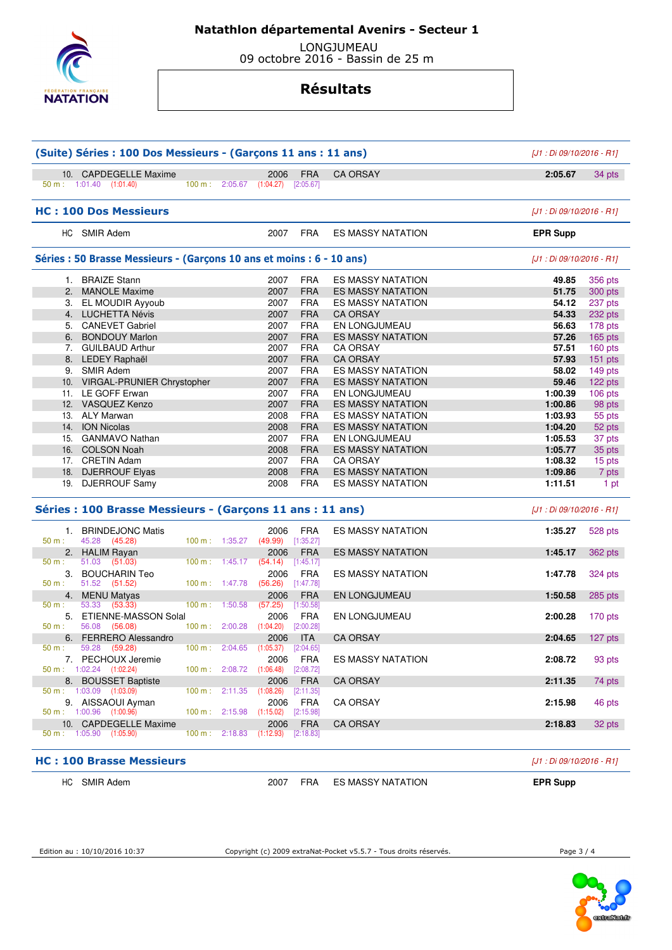

## **Natathlon départemental Avenirs - Secteur 1**

 LONGJUMEAU 09 octobre 2016 - Bassin de 25 m

# **Résultats**

| (Suite) Séries : 100 Dos Messieurs - (Garçons 11 ans : 11 ans) |                                                                       |                           |                |                                              | [J1 : Di 09/10/2016 - R1] |                          |                           |                |
|----------------------------------------------------------------|-----------------------------------------------------------------------|---------------------------|----------------|----------------------------------------------|---------------------------|--------------------------|---------------------------|----------------|
|                                                                | 10. CAPDEGELLE Maxime<br>$50 \text{ m}: 1:01.40$ $(1:01.40)$          |                           |                | 2006<br>100 m: 2:05.67 (1:04.27) [2:05.67]   | <b>FRA</b>                | <b>CA ORSAY</b>          | 2:05.67                   | 34 pts         |
|                                                                | <b>HC: 100 Dos Messieurs</b>                                          |                           |                |                                              |                           |                          | [J1 : Di 09/10/2016 - R1] |                |
|                                                                | HC SMIR Adem                                                          |                           |                | 2007                                         | FRA                       | <b>ES MASSY NATATION</b> | <b>EPR Supp</b>           |                |
|                                                                | Séries : 50 Brasse Messieurs - (Garçons 10 ans et moins : 6 - 10 ans) |                           |                |                                              |                           |                          | [J1 : Di 09/10/2016 - R1] |                |
|                                                                | 1. BRAIZE Stann                                                       |                           |                | 2007                                         | <b>FRA</b>                | <b>ES MASSY NATATION</b> | 49.85                     | 356 pts        |
|                                                                | 2. MANOLE Maxime                                                      |                           |                | 2007                                         | <b>FRA</b>                | <b>ES MASSY NATATION</b> | 51.75                     | 300 pts        |
|                                                                | 3. EL MOUDIR Ayyoub                                                   |                           |                | 2007                                         | <b>FRA</b>                | <b>ES MASSY NATATION</b> | 54.12                     | 237 pts        |
|                                                                | 4. LUCHETTA Névis                                                     |                           |                | 2007                                         | <b>FRA</b>                | <b>CA ORSAY</b>          | 54.33                     | 232 pts        |
|                                                                | 5. CANEVET Gabriel                                                    |                           |                | 2007                                         | <b>FRA</b>                | EN LONGJUMEAU            | 56.63                     | 178 pts        |
|                                                                | 6. BONDOUY Marlon                                                     |                           |                | 2007                                         | <b>FRA</b>                | <b>ES MASSY NATATION</b> | 57.26                     | <b>165 pts</b> |
|                                                                | 7. GUILBAUD Arthur                                                    |                           |                | 2007                                         | <b>FRA</b>                | <b>CA ORSAY</b>          | 57.51                     | 160 pts        |
|                                                                |                                                                       |                           |                | 2007                                         | <b>FRA</b>                | <b>CA ORSAY</b>          | 57.93                     |                |
|                                                                | 8. LEDEY Raphaël                                                      |                           |                |                                              |                           |                          |                           | 151 pts        |
|                                                                | 9. SMIR Adem                                                          |                           |                | 2007                                         | <b>FRA</b>                | <b>ES MASSY NATATION</b> | 58.02                     | 149 pts        |
|                                                                | 10. VIRGAL-PRUNIER Chrystopher                                        |                           |                | 2007                                         | <b>FRA</b>                | <b>ES MASSY NATATION</b> | 59.46                     | 122 pts        |
|                                                                | 11. LE GOFF Erwan                                                     |                           |                | 2007                                         | <b>FRA</b>                | EN LONGJUMEAU            | 1:00.39                   | 106 pts        |
|                                                                | 12. VASQUEZ Kenzo                                                     |                           |                | 2007                                         | <b>FRA</b>                | ES MASSY NATATION        | 1:00.86                   | 98 pts         |
|                                                                | 13. ALY Marwan                                                        |                           |                | 2008                                         | <b>FRA</b>                | <b>ES MASSY NATATION</b> | 1:03.93                   | 55 pts         |
|                                                                | 14. ION Nicolas                                                       |                           |                | 2008                                         | <b>FRA</b>                | <b>ES MASSY NATATION</b> | 1:04.20                   | 52 pts         |
|                                                                | 15. GANMAVO Nathan                                                    |                           |                | 2007                                         | <b>FRA</b>                | EN LONGJUMEAU            | 1:05.53                   | 37 pts         |
|                                                                | 16. COLSON Noah                                                       |                           |                | 2008                                         | <b>FRA</b>                | <b>ES MASSY NATATION</b> | 1:05.77                   | 35 pts         |
|                                                                | 17. CRETIN Adam                                                       |                           |                | 2007                                         | <b>FRA</b>                | <b>CA ORSAY</b>          | 1:08.32                   | 15 pts         |
|                                                                | 18. DJERROUF Elyas                                                    |                           |                | 2008                                         | <b>FRA</b>                | <b>ES MASSY NATATION</b> | 1:09.86                   | 7 pts          |
|                                                                | 19. DJERROUF Samy                                                     |                           |                | 2008                                         | <b>FRA</b>                | ES MASSY NATATION        | 1:11.51                   | 1 pt           |
|                                                                | Séries : 100 Brasse Messieurs - (Garçons 11 ans : 11 ans)             |                           |                |                                              |                           |                          | [J1 : Di 09/10/2016 - R1] |                |
|                                                                | 1. BRINDEJONC Matis                                                   |                           |                | 2006                                         | <b>FRA</b>                | <b>ES MASSY NATATION</b> | 1:35.27                   | 528 pts        |
| 50 m:                                                          | 45.28 (45.28)                                                         |                           | 100 m: 1:35.27 | (49.99)                                      | [1:35.27]                 |                          |                           |                |
|                                                                | 2. HALIM Rayan                                                        |                           |                | 2006                                         | <b>FRA</b>                | <b>ES MASSY NATATION</b> | 1:45.17                   | 362 pts        |
| 50 m:                                                          | 51.03 (51.03)                                                         | 100 m: 1:45.17            |                | (54.14)                                      | [1:45.17]                 |                          |                           |                |
| 3.                                                             | <b>BOUCHARIN Teo</b>                                                  |                           |                | 2006                                         | <b>FRA</b>                | <b>ES MASSY NATATION</b> | 1:47.78                   | 324 pts        |
| $50 m$ :                                                       | 51.52 (51.52)                                                         | $100 \text{ m}$ : 1:47.78 |                | (56.26)                                      | $[1:47.78]$               |                          |                           |                |
|                                                                | 4. MENU Matyas                                                        |                           |                | 2006                                         | <b>FRA</b>                | EN LONGJUMEAU            | 1:50.58                   | $285$ pts      |
| $50 m$ :                                                       | 53.33<br>(53.33)                                                      | 100 m: 1:50.58            |                | (57.25)                                      | [1:50.58]                 |                          |                           |                |
|                                                                | 5. ETIENNE-MASSON Solal                                               |                           |                | 2006                                         | <b>FRA</b>                | EN LONGJUMEAU            | 2:00.28                   | 170 pts        |
| 50 m:                                                          | 56.08 (56.08)                                                         |                           |                | 100 m : $2:00.28$ (1:04.20) [2:00.28]        |                           |                          |                           |                |
|                                                                | 6. FERRERO Alessandro                                                 |                           |                | 2006                                         | <b>ITA</b>                | <b>CA ORSAY</b>          | 2:04.65                   | 127 pts        |
| 50 m :                                                         | 59.28 (59.28)                                                         |                           |                | $100 \text{ m}: 2:04.65 (1:05.37) [2:04.65]$ |                           |                          |                           |                |
|                                                                | 7. PECHOUX Jeremie                                                    |                           |                | 2006                                         | <b>FRA</b>                | <b>ES MASSY NATATION</b> | 2:08.72                   | 93 pts         |
|                                                                | $50 \text{ m}: 1:02.24$ $(1:02.24)$                                   |                           |                | $100 \text{ m}: 2:08.72 \quad (1:06.48)$     | [2:08.72]                 |                          |                           |                |
|                                                                | 8. BOUSSET Baptiste                                                   |                           |                | 2006                                         | <b>FRA</b>                | <b>CA ORSAY</b>          | 2:11.35                   | 74 pts         |
|                                                                | $50 \text{ m}$ : 1:03.09 (1:03.09)                                    |                           | 100 m: 2:11.35 | (1:08.26)                                    | [2:11.35]                 |                          |                           |                |
|                                                                |                                                                       |                           |                |                                              | <b>FRA</b>                | <b>CA ORSAY</b>          | 2:15.98                   | 46 pts         |
|                                                                | 9. AISSAOUI Ayman                                                     |                           |                | 2006                                         |                           |                          |                           |                |
|                                                                | 50 m: 1:00.96 (1:00.96)                                               |                           | 100 m: 2:15.98 | (1:15.02)                                    | [2:15.98]                 |                          |                           |                |
|                                                                | 10. CAPDEGELLE Maxime<br>$50 \text{ m}: 1:05.90 (1:05.90)$            |                           |                | 2006<br>$100 \text{ m}: 2:18.83$ $(1:12.93)$ | <b>FRA</b><br>[2:18.83]   | <b>CA ORSAY</b>          | 2:18.83                   | 32 pts         |

#### **HC : 100 Brasse Messieurs** [J1 : Di 09/10/2016 - R1]

| НC | <b>SMIR Adem</b> |  |
|----|------------------|--|
|----|------------------|--|

2007 FRA ES MASSY NATATION **EPR Supp**